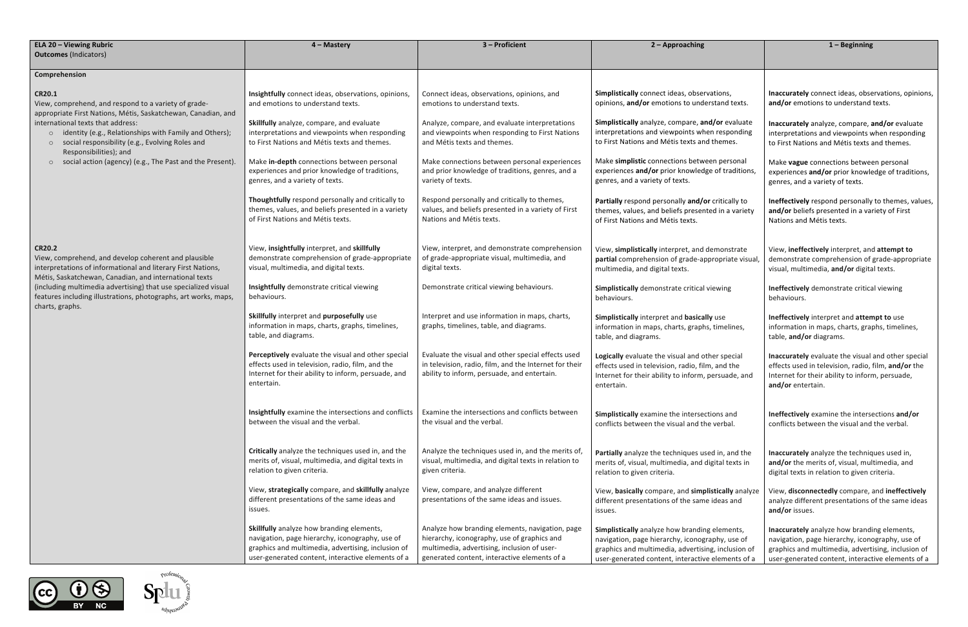| <b>ELA 20 - Viewing Rubric</b>                                                                                                                                                                                                                                                                                                                                                   | 4 - Mastery                                                                                                                                                                                             | 3 - Proficient                                                                                                                                                                                | 2 - Approaching                                                                                                                                                                                             | $1 -$ Beginning                                                                                                                            |
|----------------------------------------------------------------------------------------------------------------------------------------------------------------------------------------------------------------------------------------------------------------------------------------------------------------------------------------------------------------------------------|---------------------------------------------------------------------------------------------------------------------------------------------------------------------------------------------------------|-----------------------------------------------------------------------------------------------------------------------------------------------------------------------------------------------|-------------------------------------------------------------------------------------------------------------------------------------------------------------------------------------------------------------|--------------------------------------------------------------------------------------------------------------------------------------------|
| <b>Outcomes (Indicators)</b>                                                                                                                                                                                                                                                                                                                                                     |                                                                                                                                                                                                         |                                                                                                                                                                                               |                                                                                                                                                                                                             |                                                                                                                                            |
| Comprehension                                                                                                                                                                                                                                                                                                                                                                    |                                                                                                                                                                                                         |                                                                                                                                                                                               |                                                                                                                                                                                                             |                                                                                                                                            |
| <b>CR20.1</b><br>View, comprehend, and respond to a variety of grade-<br>appropriate First Nations, Métis, Saskatchewan, Canadian, and<br>international texts that address:<br>o identity (e.g., Relationships with Family and Others);<br>social responsibility (e.g., Evolving Roles and<br>Responsibilities); and<br>social action (agency) (e.g., The Past and the Present). | Insightfully connect ideas, observations, opinions,<br>and emotions to understand texts.                                                                                                                | Connect ideas, observations, opinions, and<br>emotions to understand texts.                                                                                                                   | Simplistically connect ideas, observations,<br>opinions, and/or emotions to understand texts.                                                                                                               | Inaccurately connect ideas, obse<br>and/or emotions to understand                                                                          |
|                                                                                                                                                                                                                                                                                                                                                                                  | Skillfully analyze, compare, and evaluate<br>interpretations and viewpoints when responding<br>to First Nations and Métis texts and themes.                                                             | Analyze, compare, and evaluate interpretations<br>and viewpoints when responding to First Nations<br>and Métis texts and themes.                                                              | Simplistically analyze, compare, and/or evaluate<br>interpretations and viewpoints when responding<br>to First Nations and Métis texts and themes.                                                          | Inaccurately analyze, compare, a<br>interpretations and viewpoints v<br>to First Nations and Métis texts a                                 |
|                                                                                                                                                                                                                                                                                                                                                                                  | Make in-depth connections between personal<br>experiences and prior knowledge of traditions,<br>genres, and a variety of texts.                                                                         | Make connections between personal experiences<br>and prior knowledge of traditions, genres, and a<br>variety of texts.                                                                        | Make simplistic connections between personal<br>experiences and/or prior knowledge of traditions,<br>genres, and a variety of texts.                                                                        | Make vague connections betwee<br>experiences and/or prior knowle<br>genres, and a variety of texts.                                        |
|                                                                                                                                                                                                                                                                                                                                                                                  | Thoughtfully respond personally and critically to<br>themes, values, and beliefs presented in a variety<br>of First Nations and Métis texts.                                                            | Respond personally and critically to themes,<br>values, and beliefs presented in a variety of First<br>Nations and Métis texts.                                                               | Partially respond personally and/or critically to<br>themes, values, and beliefs presented in a variety<br>of First Nations and Métis texts.                                                                | Ineffectively respond personally<br>and/or beliefs presented in a val<br>Nations and Métis texts.                                          |
| <b>CR20.2</b><br>View, comprehend, and develop coherent and plausible<br>interpretations of informational and literary First Nations,<br>Métis, Saskatchewan, Canadian, and international texts<br>(including multimedia advertising) that use specialized visual<br>features including illustrations, photographs, art works, maps,<br>charts, graphs.                          | View, insightfully interpret, and skillfully<br>demonstrate comprehension of grade-appropriate<br>visual, multimedia, and digital texts.                                                                | View, interpret, and demonstrate comprehension<br>of grade-appropriate visual, multimedia, and<br>digital texts.                                                                              | View, simplistically interpret, and demonstrate<br>partial comprehension of grade-appropriate visual,<br>multimedia, and digital texts.                                                                     | View, ineffectively interpret, and<br>demonstrate comprehension of<br>visual, multimedia, and/or digita                                    |
|                                                                                                                                                                                                                                                                                                                                                                                  | Insightfully demonstrate critical viewing<br>behaviours.                                                                                                                                                | Demonstrate critical viewing behaviours.                                                                                                                                                      | Simplistically demonstrate critical viewing<br>behaviours.                                                                                                                                                  | Ineffectively demonstrate critica<br>behaviours.                                                                                           |
|                                                                                                                                                                                                                                                                                                                                                                                  | Skillfully interpret and purposefully use<br>information in maps, charts, graphs, timelines,<br>table, and diagrams.                                                                                    | Interpret and use information in maps, charts,<br>graphs, timelines, table, and diagrams.                                                                                                     | Simplistically interpret and basically use<br>information in maps, charts, graphs, timelines,<br>table, and diagrams.                                                                                       | Ineffectively interpret and atten<br>information in maps, charts, gray<br>table, and/or diagrams.                                          |
|                                                                                                                                                                                                                                                                                                                                                                                  | Perceptively evaluate the visual and other special<br>effects used in television, radio, film, and the<br>Internet for their ability to inform, persuade, and<br>entertain.                             | Evaluate the visual and other special effects used<br>in television, radio, film, and the Internet for their<br>ability to inform, persuade, and entertain.                                   | Logically evaluate the visual and other special<br>effects used in television, radio, film, and the<br>Internet for their ability to inform, persuade, and<br>entertain.                                    | Inaccurately evaluate the visual<br>effects used in television, radio,<br>Internet for their ability to inforr<br>and/or entertain.        |
|                                                                                                                                                                                                                                                                                                                                                                                  | Insightfully examine the intersections and conflicts<br>between the visual and the verbal.                                                                                                              | Examine the intersections and conflicts between<br>the visual and the verbal.                                                                                                                 | Simplistically examine the intersections and<br>conflicts between the visual and the verbal.                                                                                                                | Ineffectively examine the inters<br>conflicts between the visual and                                                                       |
|                                                                                                                                                                                                                                                                                                                                                                                  | Critically analyze the techniques used in, and the<br>merits of, visual, multimedia, and digital texts in<br>relation to given criteria.                                                                | Analyze the techniques used in, and the merits of,<br>visual, multimedia, and digital texts in relation to<br>given criteria.                                                                 | Partially analyze the techniques used in, and the<br>merits of, visual, multimedia, and digital texts in<br>relation to given criteria.                                                                     | Inaccurately analyze the technic<br>and/or the merits of, visual, mul<br>digital texts in relation to given o                              |
|                                                                                                                                                                                                                                                                                                                                                                                  | View, strategically compare, and skillfully analyze<br>different presentations of the same ideas and<br>issues.                                                                                         | View, compare, and analyze different<br>presentations of the same ideas and issues.                                                                                                           | View, basically compare, and simplistically analyze<br>different presentations of the same ideas and<br>issues.                                                                                             | View, disconnectedly compare,<br>analyze different presentations o<br>and/or issues.                                                       |
|                                                                                                                                                                                                                                                                                                                                                                                  | Skillfully analyze how branding elements,<br>navigation, page hierarchy, iconography, use of<br>graphics and multimedia, advertising, inclusion of<br>user-generated content, interactive elements of a | Analyze how branding elements, navigation, page<br>hierarchy, iconography, use of graphics and<br>multimedia, advertising, inclusion of user-<br>generated content, interactive elements of a | Simplistically analyze how branding elements,<br>navigation, page hierarchy, iconography, use of<br>graphics and multimedia, advertising, inclusion of<br>user-generated content, interactive elements of a | Inaccurately analyze how brandi<br>navigation, page hierarchy, icon<br>graphics and multimedia, advert<br>user-generated content, interact |





|                                                              | $1 -$ Beginning                                                                                                                                                                                                  |  |  |  |
|--------------------------------------------------------------|------------------------------------------------------------------------------------------------------------------------------------------------------------------------------------------------------------------|--|--|--|
|                                                              |                                                                                                                                                                                                                  |  |  |  |
| ations,<br>stand texts.                                      | Inaccurately connect ideas, observations, opinions,<br>and/or emotions to understand texts.                                                                                                                      |  |  |  |
| /or evaluate<br>n responding<br>themes.                      | Inaccurately analyze, compare, and/or evaluate<br>interpretations and viewpoints when responding<br>to First Nations and Métis texts and themes.                                                                 |  |  |  |
| n personal<br>of traditions,                                 | Make vague connections between personal<br>experiences and/or prior knowledge of traditions,<br>genres, and a variety of texts.                                                                                  |  |  |  |
| critically to<br>d in a variety                              | Ineffectively respond personally to themes, values,<br>and/or beliefs presented in a variety of First<br>Nations and Métis texts.                                                                                |  |  |  |
| emonstrate<br>ropriate visual,                               | View, ineffectively interpret, and attempt to<br>demonstrate comprehension of grade-appropriate<br>visual, multimedia, and/or digital texts.                                                                     |  |  |  |
| ewing                                                        | Ineffectively demonstrate critical viewing<br>behaviours.                                                                                                                                                        |  |  |  |
| use<br>timelines,                                            | Ineffectively interpret and attempt to use<br>information in maps, charts, graphs, timelines,<br>table, and/or diagrams.                                                                                         |  |  |  |
| er special<br>and the<br>ersuade, and                        | Inaccurately evaluate the visual and other special<br>effects used in television, radio, film, and/or the<br>Internet for their ability to inform, persuade,<br>and/or entertain.                                |  |  |  |
| ons and<br>verbal.                                           | Ineffectively examine the intersections and/or<br>conflicts between the visual and the verbal.                                                                                                                   |  |  |  |
| d in, and the<br>gital texts in                              | <b>Inaccurately</b> analyze the techniques used in,<br>and/or the merits of, visual, multimedia, and<br>digital texts in relation to given criteria.                                                             |  |  |  |
| s <b>tically</b> analyze<br>ideas and                        | View, disconnectedly compare, and ineffectively<br>analyze different presentations of the same ideas<br>and/or issues.                                                                                           |  |  |  |
| elements,<br>phy, use of<br>z, inclusion of<br>elements of a | <b>Inaccurately</b> analyze how branding elements,<br>navigation, page hierarchy, iconography, use of<br>graphics and multimedia, advertising, inclusion of<br>user-generated content, interactive elements of a |  |  |  |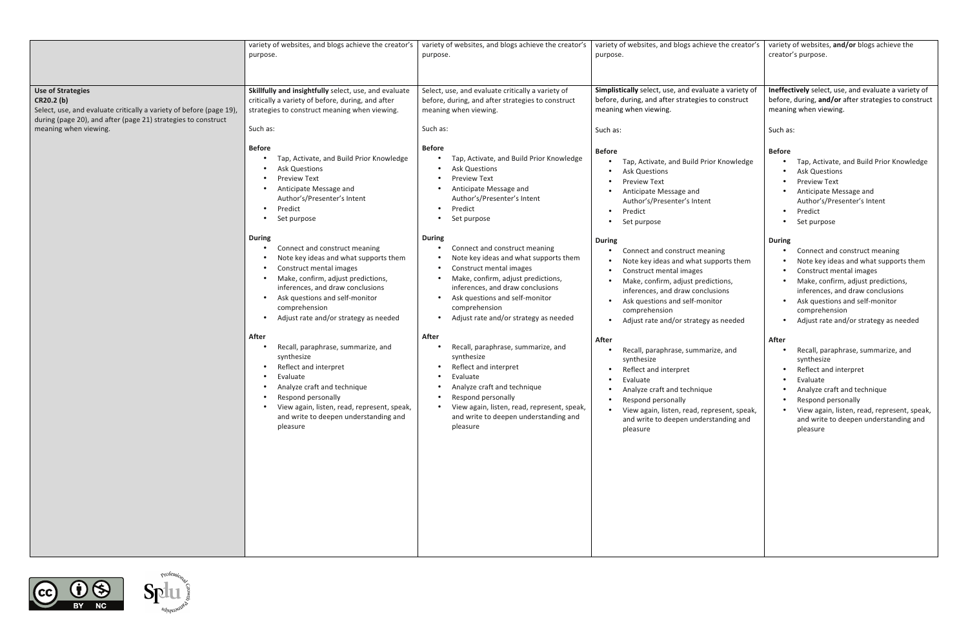|                                                                                                                                                                                                         | variety of websites, and blogs achieve the creator's<br>purpose.                                                                                                                                                                                                                                                   | variety of websites, and blogs achieve the creator's<br>purpose.                                                                                                                                                                                                                         | variety of websites, and blogs achieve the creator's<br>purpose.                                                                                                                                                                                                                           | variety of websites, and/or blogs achieve the<br>creator's purpose.                                                                                                                                                                                                                        |
|---------------------------------------------------------------------------------------------------------------------------------------------------------------------------------------------------------|--------------------------------------------------------------------------------------------------------------------------------------------------------------------------------------------------------------------------------------------------------------------------------------------------------------------|------------------------------------------------------------------------------------------------------------------------------------------------------------------------------------------------------------------------------------------------------------------------------------------|--------------------------------------------------------------------------------------------------------------------------------------------------------------------------------------------------------------------------------------------------------------------------------------------|--------------------------------------------------------------------------------------------------------------------------------------------------------------------------------------------------------------------------------------------------------------------------------------------|
| <b>Use of Strategies</b><br>CR20.2 (b)<br>Select, use, and evaluate critically a variety of before (page 19),<br>during (page 20), and after (page 21) strategies to construct<br>meaning when viewing. | Skillfully and insightfully select, use, and evaluate<br>critically a variety of before, during, and after<br>strategies to construct meaning when viewing.<br>Such as:                                                                                                                                            | Select, use, and evaluate critically a variety of<br>before, during, and after strategies to construct<br>meaning when viewing.<br>Such as:                                                                                                                                              | Simplistically select, use, and evaluate a variety of<br>before, during, and after strategies to construct<br>meaning when viewing.<br>Such as:                                                                                                                                            | Ineffectively select, use, and evaluate a variety of<br>before, during, and/or after strategies to construct<br>meaning when viewing.<br>Such as:                                                                                                                                          |
|                                                                                                                                                                                                         | <b>Before</b><br>Tap, Activate, and Build Prior Knowledge<br><b>Ask Questions</b><br><b>Preview Text</b><br>Anticipate Message and<br>Author's/Presenter's Intent<br>Predict<br>Set purpose                                                                                                                        | <b>Before</b><br>Tap, Activate, and Build Prior Knowledge<br><b>Ask Questions</b><br><b>Preview Text</b><br>Anticipate Message and<br>Author's/Presenter's Intent<br>Predict<br>Set purpose                                                                                              | <b>Before</b><br>Tap, Activate, and Build Prior Knowledge<br>Ask Questions<br><b>Preview Text</b><br>Anticipate Message and<br>Author's/Presenter's Intent<br>Predict<br>Set purpose                                                                                                       | <b>Before</b><br>Tap, Activate, and Build Prior Knowledge<br>• Ask Questions<br><b>Preview Text</b><br>• Anticipate Message and<br>Author's/Presenter's Intent<br>Predict<br>$\bullet$<br>Set purpose<br>$\bullet$                                                                         |
|                                                                                                                                                                                                         | <b>During</b><br>Connect and construct meaning<br>Note key ideas and what supports them<br>$\bullet$<br>Construct mental images<br>Make, confirm, adjust predictions,<br>inferences, and draw conclusions<br>Ask questions and self-monitor<br>$\bullet$<br>comprehension<br>Adjust rate and/or strategy as needed | <b>During</b><br>Connect and construct meaning<br>Note key ideas and what supports them<br>Construct mental images<br>Make, confirm, adjust predictions,<br>inferences, and draw conclusions<br>Ask questions and self-monitor<br>comprehension<br>Adjust rate and/or strategy as needed | <b>During</b><br>Connect and construct meaning<br>Note key ideas and what supports them<br>Construct mental images<br>Make, confirm, adjust predictions,<br>inferences, and draw conclusions<br>Ask questions and self-monitor<br>comprehension<br>• Adjust rate and/or strategy as needed | <b>During</b><br>Connect and construct meaning<br>Note key ideas and what supports them<br>Construct mental images<br>Make, confirm, adjust predictions,<br>inferences, and draw conclusions<br>• Ask questions and self-monitor<br>comprehension<br>Adjust rate and/or strategy as needed |
|                                                                                                                                                                                                         | After<br>Recall, paraphrase, summarize, and<br>synthesize<br>Reflect and interpret<br>Evaluate<br>Analyze craft and technique<br>Respond personally<br>View again, listen, read, represent, speak,<br>and write to deepen understanding and<br>pleasure                                                            | After<br>Recall, paraphrase, summarize, and<br>synthesize<br>Reflect and interpret<br>Evaluate<br>Analyze craft and technique<br>Respond personally<br>View again, listen, read, represent, speak,<br>and write to deepen understanding and<br>pleasure                                  | After<br>Recall, paraphrase, summarize, and<br>synthesize<br>Reflect and interpret<br>Evaluate<br>• Analyze craft and technique<br>Respond personally<br>View again, listen, read, represent, speak,<br>and write to deepen understanding and<br>pleasure                                  | After<br>Recall, paraphrase, summarize, and<br>synthesize<br>Reflect and interpret<br>Evaluate<br>• Analyze craft and technique<br>Respond personally<br>• View again, listen, read, represent, speak,<br>and write to deepen understanding and<br>pleasure                                |